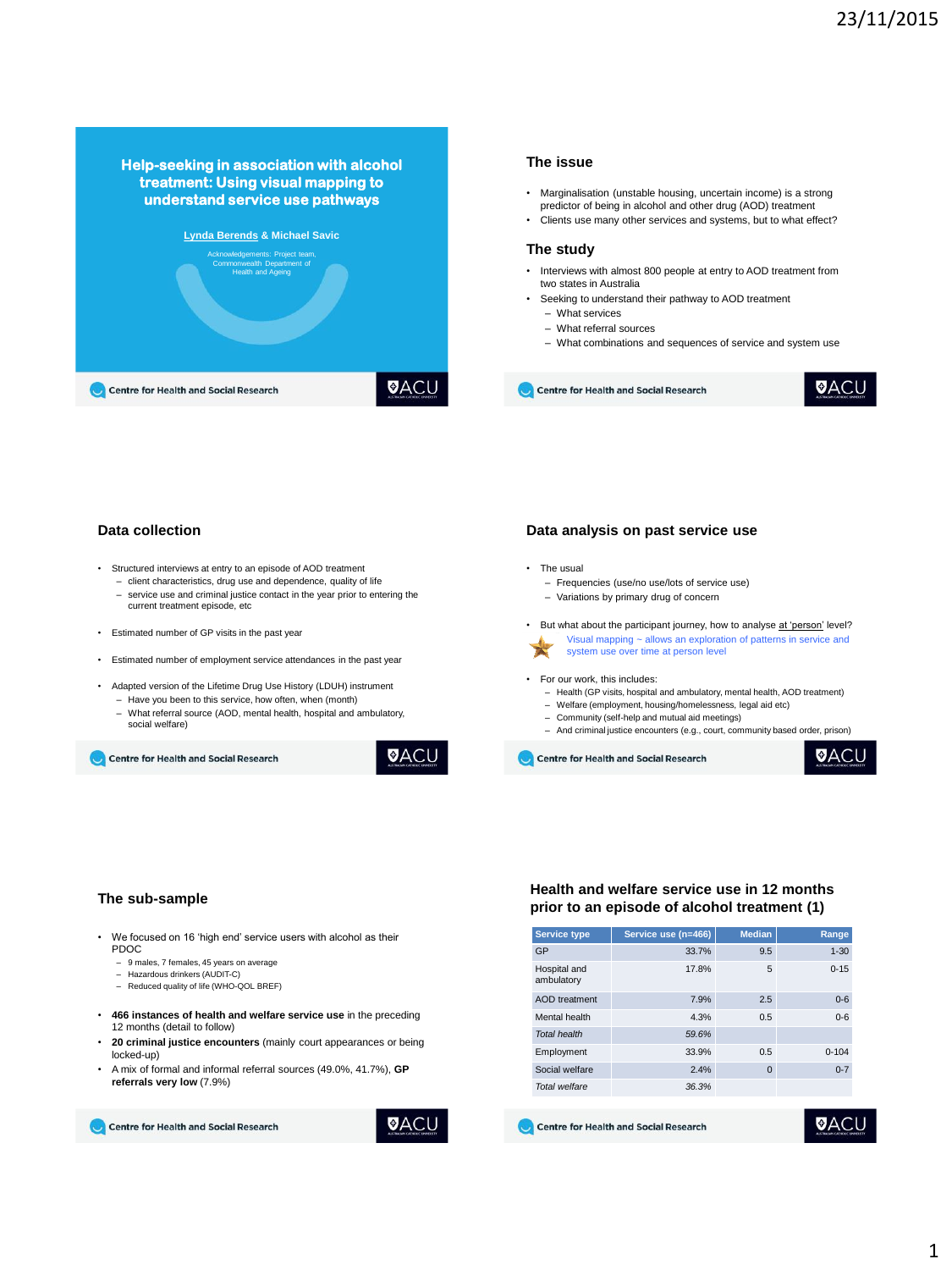



Centre for Health and Social Research

**Data collection**

- Structured interviews at entry to an episode of AOD treatment
	- client characteristics, drug use and dependence, quality of life
	- service use and criminal justice contact in the year prior to entering the current treatment episode, etc
- Estimated number of GP visits in the past year
- Estimated number of employment service attendances in the past year
- Adapted version of the Lifetime Drug Use History (LDUH) instrument
	- Have you been to this service, how often, when (month) – What referral source (AOD, mental health, hospital and ambulatory,
	- social welfare)

Centre for Health and Social Research



### **Data analysis on past service use**

- The usual
- Frequencies (use/no use/lots of service use)
- Variations by primary drug of concern
- But what about the participant journey, how to analyse at 'person' level? • Visual mapping ~ allows an exploration of patterns in service and system use over time at person level

#### • For our work, this includes:

- Health (GP visits, hospital and ambulatory, mental health, AOD treatment)
- Welfare (employment, housing/homelessness, legal aid etc)
- Community (self-help and mutual aid meetings)
- And criminal justice encounters (e.g., court, community based order, prison)

Centre for Health and Social Research

**VACL** 

UAC

#### **The sub-sample**

- We focused on 16 'high end' service users with alcohol as their PDOC
	- 9 males, 7 females, 45 years on average
	- Hazardous drinkers (AUDIT-C)
	- Reduced quality of life (WHO-QOL BREF)
- **466 instances of health and welfare service use** in the preceding 12 months (detail to follow)
- **20 criminal justice encounters** (mainly court appearances or being locked-up)
- A mix of formal and informal referral sources (49.0%, 41.7%), **GP referrals very low** (7.9%)

Centre for Health and Social Research

```
VACL
```
## **Health and welfare service use in 12 months prior to an episode of alcohol treatment (1)**

| <b>Service type</b>        | Service use (n=466) | <b>Median</b> | Range     |
|----------------------------|---------------------|---------------|-----------|
| GP                         | 33.7%               | 9.5           | $1 - 30$  |
| Hospital and<br>ambulatory | 17.8%               | 5             | $0 - 15$  |
| AOD treatment              | 7.9%                | 2.5           | $0 - 6$   |
| Mental health              | 4.3%                | 0.5           | $0 - 6$   |
| <b>Total health</b>        | 59.6%               |               |           |
| Employment                 | 33.9%               | 0.5           | $0 - 104$ |
| Social welfare             | 2.4%                | $\Omega$      | $0 - 7$   |
| <b>Total welfare</b>       | 36.3%               |               |           |

Centre for Health and Social Research

**VACL**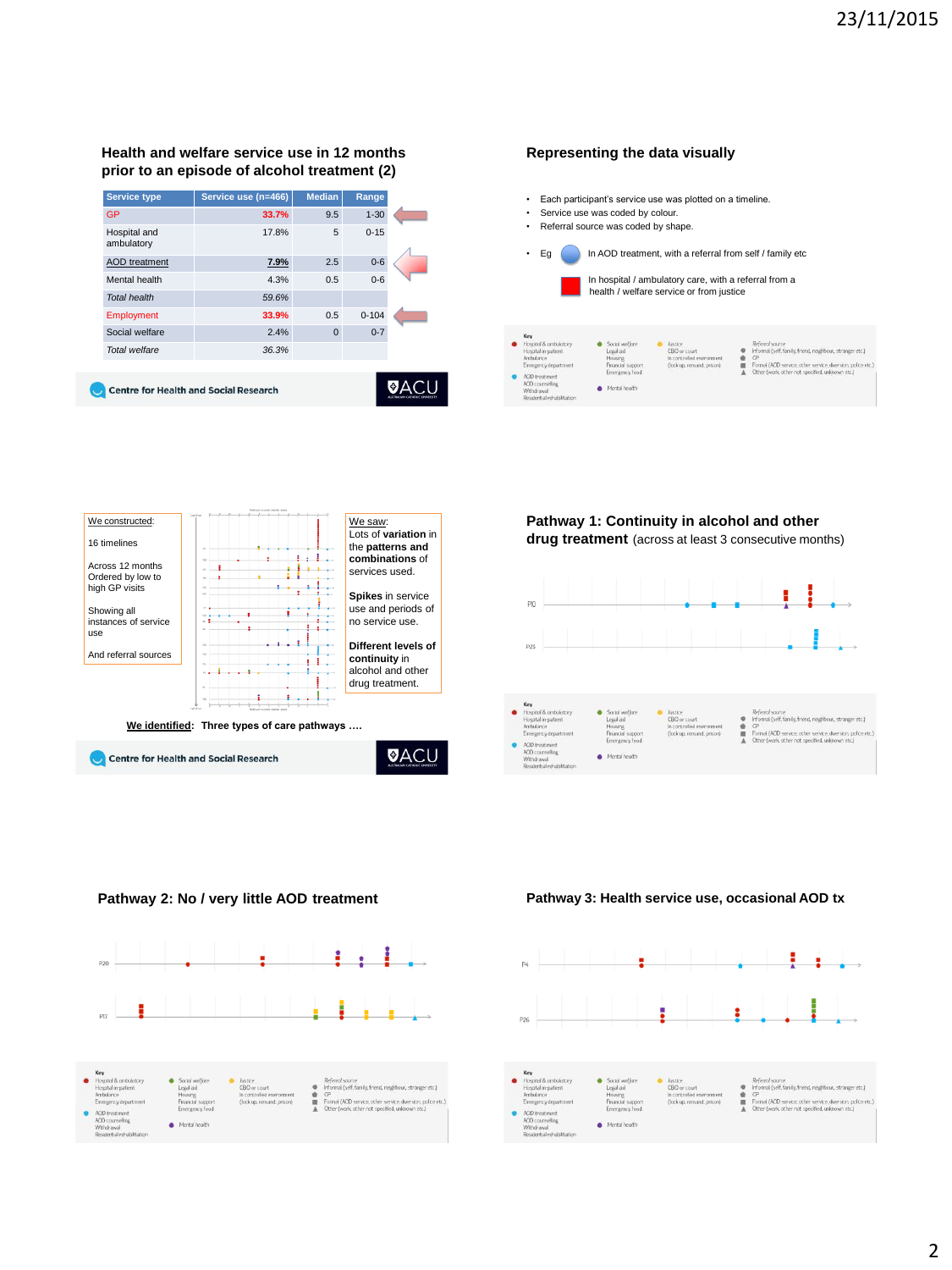# **Health and welfare service use in 12 months prior to an episode of alcohol treatment (2)**

| <b>Service type</b>        | Service use (n=466) | <b>Median</b> | Range     |  |
|----------------------------|---------------------|---------------|-----------|--|
| <b>GP</b>                  | 33.7%               | 9.5           | $1 - 30$  |  |
| Hospital and<br>ambulatory | 17.8%               | 5             | $0 - 15$  |  |
| <b>AOD</b> treatment       | 7.9%                | 2.5           | $0 - 6$   |  |
| Mental health              | 4.3%                | 0.5           | $0 - 6$   |  |
| <b>Total health</b>        | 59.6%               |               |           |  |
| Employment                 | 33.9%               | 0.5           | $0 - 104$ |  |
| Social welfare             | 2.4%                | $\Omega$      | $0 - 7$   |  |
| Total welfare              | 36.3%               |               |           |  |
|                            |                     |               |           |  |
|                            |                     |               |           |  |

Centre for Health and Social Research



# **Representing the data visually**

- Each participant's service use was plotted on a timeline. Service use was coded by colour.
- Referral source was coded by shape.
- 





Centre for Health and Social Research



**Pathway 1: Continuity in alcohol and other drug treatment** (across at least 3 consecutive months)







**Pathway 2: No / very little AOD treatment Pathway 3: Health service use, occasional AOD tx**